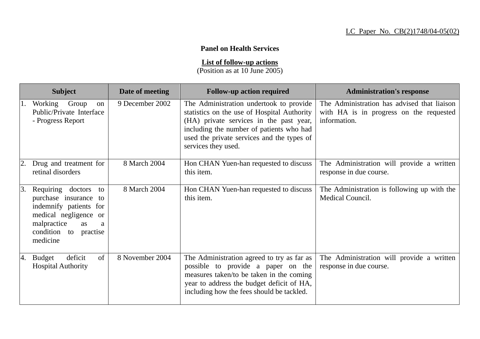## **Panel on Health Services**

**List of follow-up actions**

(Position as at 10 June 2005)

|    | <b>Subject</b>                                                                                                                                                     | Date of meeting | <b>Follow-up action required</b>                                                                                                                                                                                                                   | <b>Administration's response</b>                                                                       |
|----|--------------------------------------------------------------------------------------------------------------------------------------------------------------------|-----------------|----------------------------------------------------------------------------------------------------------------------------------------------------------------------------------------------------------------------------------------------------|--------------------------------------------------------------------------------------------------------|
|    | Working Group<br>on<br>Public/Private Interface<br>- Progress Report                                                                                               | 9 December 2002 | The Administration undertook to provide<br>statistics on the use of Hospital Authority<br>(HA) private services in the past year,<br>including the number of patients who had<br>used the private services and the types of<br>services they used. | The Administration has advised that liaison<br>with HA is in progress on the requested<br>information. |
|    | Drug and treatment for<br>retinal disorders                                                                                                                        | 8 March 2004    | Hon CHAN Yuen-han requested to discuss<br>this item.                                                                                                                                                                                               | The Administration will provide a written<br>response in due course.                                   |
| 3. | Requiring doctors<br>to<br>purchase insurance to<br>indemnify patients for<br>medical negligence or<br>malpractice<br>as<br>a<br>condition to practise<br>medicine | 8 March 2004    | Hon CHAN Yuen-han requested to discuss<br>this item.                                                                                                                                                                                               | The Administration is following up with the<br>Medical Council.                                        |
| 4. | of<br>deficit<br><b>Budget</b><br><b>Hospital Authority</b>                                                                                                        | 8 November 2004 | The Administration agreed to try as far as<br>possible to provide a paper on the<br>measures taken/to be taken in the coming<br>year to address the budget deficit of HA,<br>including how the fees should be tackled.                             | The Administration will provide a written<br>response in due course.                                   |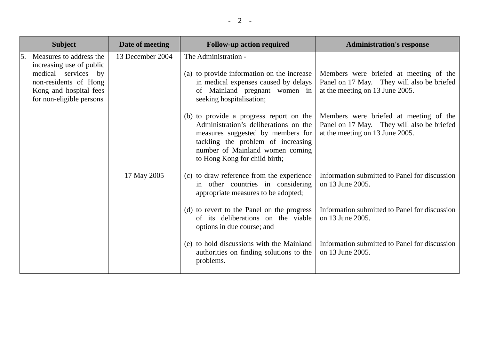|    | <b>Subject</b>                                                                                     | Date of meeting  | <b>Follow-up action required</b>                                                                                                                                                                                                | <b>Administration's response</b>                                                                                        |
|----|----------------------------------------------------------------------------------------------------|------------------|---------------------------------------------------------------------------------------------------------------------------------------------------------------------------------------------------------------------------------|-------------------------------------------------------------------------------------------------------------------------|
| 5. | Measures to address the<br>increasing use of public                                                | 13 December 2004 | The Administration -                                                                                                                                                                                                            |                                                                                                                         |
|    | medical services by<br>non-residents of Hong<br>Kong and hospital fees<br>for non-eligible persons |                  | (a) to provide information on the increase<br>in medical expenses caused by delays<br>of Mainland pregnant women in<br>seeking hospitalisation;                                                                                 | Members were briefed at meeting of the<br>Panel on 17 May. They will also be briefed<br>at the meeting on 13 June 2005. |
|    |                                                                                                    |                  | (b) to provide a progress report on the<br>Administration's deliberations on the<br>measures suggested by members for<br>tackling the problem of increasing<br>number of Mainland women coming<br>to Hong Kong for child birth; | Members were briefed at meeting of the<br>Panel on 17 May. They will also be briefed<br>at the meeting on 13 June 2005. |
|    |                                                                                                    | 17 May 2005      | (c) to draw reference from the experience<br>in other countries in considering<br>appropriate measures to be adopted;                                                                                                           | Information submitted to Panel for discussion<br>on 13 June 2005.                                                       |
|    |                                                                                                    |                  | (d) to revert to the Panel on the progress<br>of its deliberations on the viable<br>options in due course; and                                                                                                                  | Information submitted to Panel for discussion<br>on 13 June 2005.                                                       |
|    |                                                                                                    |                  | (e) to hold discussions with the Mainland<br>authorities on finding solutions to the<br>problems.                                                                                                                               | Information submitted to Panel for discussion<br>on 13 June 2005.                                                       |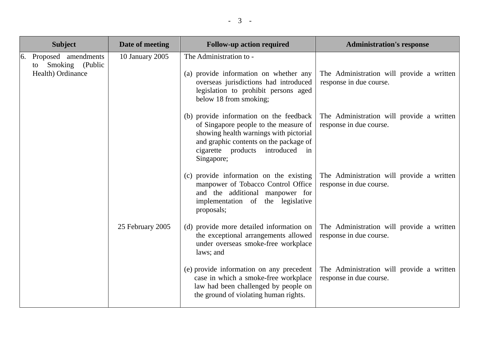| <b>Subject</b>                                                       |                  | Date of meeting                                                                                                                                                                                                           | <b>Follow-up action required</b>                                                                                                                                             | <b>Administration's response</b>                                     |
|----------------------------------------------------------------------|------------------|---------------------------------------------------------------------------------------------------------------------------------------------------------------------------------------------------------------------------|------------------------------------------------------------------------------------------------------------------------------------------------------------------------------|----------------------------------------------------------------------|
| 6. Proposed amendments<br>Smoking (Public<br>to<br>Health) Ordinance |                  | 10 January 2005                                                                                                                                                                                                           | The Administration to -<br>(a) provide information on whether any<br>overseas jurisdictions had introduced<br>legislation to prohibit persons aged<br>below 18 from smoking; | The Administration will provide a written<br>response in due course. |
|                                                                      | 25 February 2005 | (b) provide information on the feedback<br>of Singapore people to the measure of<br>showing health warnings with pictorial<br>and graphic contents on the package of<br>introduced in<br>cigarette products<br>Singapore; | The Administration will provide a written<br>response in due course.                                                                                                         |                                                                      |
|                                                                      |                  | (c) provide information on the existing<br>manpower of Tobacco Control Office<br>and the additional manpower for<br>implementation of the legislative<br>proposals;                                                       | The Administration will provide a written<br>response in due course.                                                                                                         |                                                                      |
|                                                                      |                  | (d) provide more detailed information on<br>the exceptional arrangements allowed<br>under overseas smoke-free workplace<br>laws; and                                                                                      | The Administration will provide a written<br>response in due course.                                                                                                         |                                                                      |
|                                                                      |                  |                                                                                                                                                                                                                           | (e) provide information on any precedent<br>case in which a smoke-free workplace<br>law had been challenged by people on<br>the ground of violating human rights.            | The Administration will provide a written<br>response in due course. |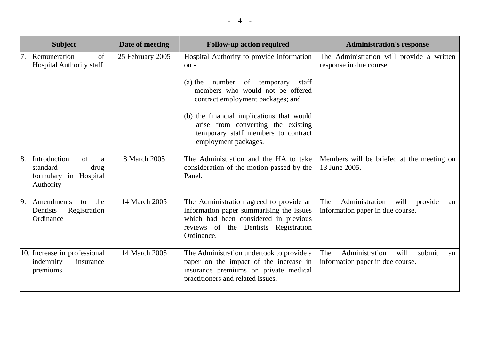|    | <b>Subject</b>                                                                    | Date of meeting  | <b>Follow-up action required</b>                                                                                                                                                   | <b>Administration's response</b>                                                   |
|----|-----------------------------------------------------------------------------------|------------------|------------------------------------------------------------------------------------------------------------------------------------------------------------------------------------|------------------------------------------------------------------------------------|
|    | Remuneration<br>of<br><b>Hospital Authority staff</b>                             | 25 February 2005 | Hospital Authority to provide information<br>on-                                                                                                                                   | The Administration will provide a written<br>response in due course.               |
|    |                                                                                   |                  | temporary<br>number of<br>$(a)$ the<br>staff<br>members who would not be offered<br>contract employment packages; and                                                              |                                                                                    |
|    |                                                                                   |                  | (b) the financial implications that would<br>arise from converting the existing<br>temporary staff members to contract<br>employment packages.                                     |                                                                                    |
| 8. | of<br>Introduction<br>a<br>standard<br>drug<br>formulary in Hospital<br>Authority | 8 March 2005     | The Administration and the HA to take<br>consideration of the motion passed by the<br>Panel.                                                                                       | Members will be briefed at the meeting on<br>13 June 2005.                         |
| 9. | Amendments<br>the<br>to<br>Registration<br>Dentists<br>Ordinance                  | 14 March 2005    | The Administration agreed to provide an<br>information paper summarising the issues<br>which had been considered in previous<br>reviews of the Dentists Registration<br>Ordinance. | Administration<br>The<br>will<br>provide<br>an<br>information paper in due course. |
|    | 10. Increase in professional<br>indemnity<br>insurance<br>premiums                | 14 March 2005    | The Administration undertook to provide a<br>paper on the impact of the increase in<br>insurance premiums on private medical<br>practitioners and related issues.                  | Administration<br>will<br>The<br>submit<br>an<br>information paper in due course.  |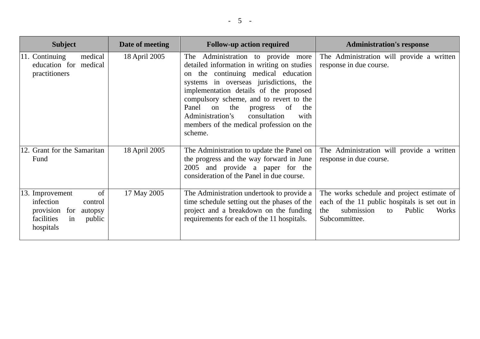| <b>Subject</b>                                                                                                       | Date of meeting | <b>Follow-up action required</b>                                                                                                                                                                                                                                                                                                                                                                                  | <b>Administration's response</b>                                                                                                                           |
|----------------------------------------------------------------------------------------------------------------------|-----------------|-------------------------------------------------------------------------------------------------------------------------------------------------------------------------------------------------------------------------------------------------------------------------------------------------------------------------------------------------------------------------------------------------------------------|------------------------------------------------------------------------------------------------------------------------------------------------------------|
| medical<br>11. Continuing<br>education for medical<br>practitioners                                                  | 18 April 2005   | The Administration to provide more<br>detailed information in writing on studies<br>the continuing medical education<br>$\Omega$<br>systems in overseas jurisdictions, the<br>implementation details of the proposed<br>compulsory scheme, and to revert to the<br>Panel<br>the<br>of<br>on<br>the<br>progress<br>Administration's<br>consultation<br>with<br>members of the medical profession on the<br>scheme. | The Administration will provide a written<br>response in due course.                                                                                       |
| 12. Grant for the Samaritan<br>Fund                                                                                  | 18 April 2005   | The Administration to update the Panel on<br>the progress and the way forward in June<br>2005 and provide a paper for the<br>consideration of the Panel in due course.                                                                                                                                                                                                                                            | The Administration will provide a written<br>response in due course.                                                                                       |
| of<br>13. Improvement<br>infection<br>control<br>provision for<br>autopsy<br>facilities<br>public<br>in<br>hospitals | 17 May 2005     | The Administration undertook to provide a<br>time schedule setting out the phases of the<br>project and a breakdown on the funding<br>requirements for each of the 11 hospitals.                                                                                                                                                                                                                                  | The works schedule and project estimate of<br>each of the 11 public hospitals is set out in<br>submission<br>Public<br>the<br>Works<br>to<br>Subcommittee. |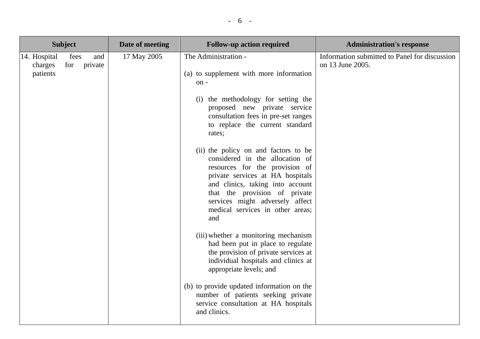| <b>Subject</b>                      |             |                | Date of meeting | <b>Follow-up action required</b>                                                                                                                                                                                                                                                                                                                                                                                                                                                                                                                                                                                                                                                                                                                                                                                                                                        | <b>Administration's response</b>                                  |
|-------------------------------------|-------------|----------------|-----------------|-------------------------------------------------------------------------------------------------------------------------------------------------------------------------------------------------------------------------------------------------------------------------------------------------------------------------------------------------------------------------------------------------------------------------------------------------------------------------------------------------------------------------------------------------------------------------------------------------------------------------------------------------------------------------------------------------------------------------------------------------------------------------------------------------------------------------------------------------------------------------|-------------------------------------------------------------------|
| 14. Hospital<br>charges<br>patients | fees<br>for | and<br>private | 17 May 2005     | The Administration -<br>(a) to supplement with more information<br>on-<br>(i) the methodology for setting the<br>proposed new private service<br>consultation fees in pre-set ranges<br>to replace the current standard<br>rates;<br>(ii) the policy on and factors to be<br>considered in the allocation of<br>resources for the provision of<br>private services at HA hospitals<br>and clinics, taking into account<br>that the provision of private<br>services might adversely affect<br>medical services in other areas;<br>and<br>(iii) whether a monitoring mechanism<br>had been put in place to regulate<br>the provision of private services at<br>individual hospitals and clinics at<br>appropriate levels; and<br>(b) to provide updated information on the<br>number of patients seeking private<br>service consultation at HA hospitals<br>and clinics. | Information submitted to Panel for discussion<br>on 13 June 2005. |